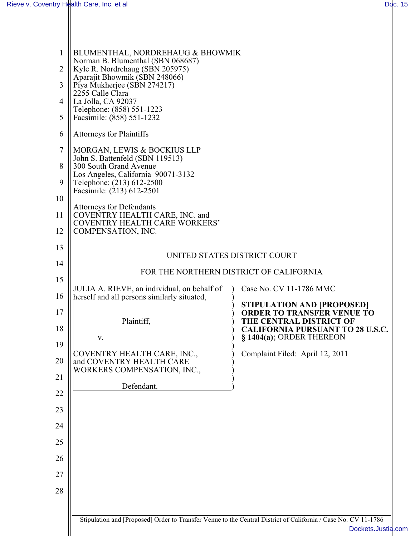| $\mathbf{1}$<br>$\overline{2}$<br>3<br>$\overline{4}$<br>5<br>6<br>$\tau$<br>8<br>9<br>10<br>11<br>12 | BLUMENTHAL, NORDREHAUG & BHOWMIK<br>Norman B. Blumenthal (SBN 068687)<br>Kyle R. Nordrehaug (SBN 205975)<br>Aparajit Bhowmik (SBN 248066)<br>Piya Mukherjee (SBN 274217)<br>2255 Calle Clara<br>La Jolla, CA 92037<br>Telephone: (858) 551-1223<br>Facsimile: (858) 551-1232<br><b>Attorneys for Plaintiffs</b><br>MORGAN, LEWIS & BOCKIUS LLP<br>John S. Battenfeld (SBN 119513)<br>300 South Grand Avenue<br>Los Angeles, California 90071-3132<br>Telephone: (213) 612-2500<br>Facsimile: (213) 612-2501<br><b>Attorneys for Defendants</b><br>COVENTRY HEALTH CARE, INC. and<br>COVENTRY HEALTH CARE WORKERS'<br>COMPENSATION, INC. |                                                                        |  |
|-------------------------------------------------------------------------------------------------------|-----------------------------------------------------------------------------------------------------------------------------------------------------------------------------------------------------------------------------------------------------------------------------------------------------------------------------------------------------------------------------------------------------------------------------------------------------------------------------------------------------------------------------------------------------------------------------------------------------------------------------------------|------------------------------------------------------------------------|--|
| 13                                                                                                    | UNITED STATES DISTRICT COURT                                                                                                                                                                                                                                                                                                                                                                                                                                                                                                                                                                                                            |                                                                        |  |
| 14                                                                                                    | FOR THE NORTHERN DISTRICT OF CALIFORNIA                                                                                                                                                                                                                                                                                                                                                                                                                                                                                                                                                                                                 |                                                                        |  |
| 15                                                                                                    |                                                                                                                                                                                                                                                                                                                                                                                                                                                                                                                                                                                                                                         |                                                                        |  |
| 16                                                                                                    | JULIA A. RIEVE, an individual, on behalf of<br>herself and all persons similarly situated,                                                                                                                                                                                                                                                                                                                                                                                                                                                                                                                                              | Case No. CV 11-1786 MMC                                                |  |
| 17                                                                                                    |                                                                                                                                                                                                                                                                                                                                                                                                                                                                                                                                                                                                                                         | <b>STIPULATION AND [PROPOSED]</b><br><b>ORDER TO TRANSFER VENUE TO</b> |  |
| 18                                                                                                    | Plaintiff,                                                                                                                                                                                                                                                                                                                                                                                                                                                                                                                                                                                                                              | THE CENTRAL DISTRICT OF<br><b>CALIFORNIA PURSUANT TO 28 U.S.C.</b>     |  |
| 19                                                                                                    | V.                                                                                                                                                                                                                                                                                                                                                                                                                                                                                                                                                                                                                                      | § 1404(a); ORDER THEREON                                               |  |
| 20                                                                                                    | COVENTRY HEALTH CARE, INC.,<br>and COVENTRY HEALTH CARE<br>WORKERS COMPENSATION, INC.,                                                                                                                                                                                                                                                                                                                                                                                                                                                                                                                                                  | Complaint Filed: April 12, 2011                                        |  |
| 21                                                                                                    | Defendant.                                                                                                                                                                                                                                                                                                                                                                                                                                                                                                                                                                                                                              |                                                                        |  |
| 22                                                                                                    |                                                                                                                                                                                                                                                                                                                                                                                                                                                                                                                                                                                                                                         |                                                                        |  |
| 23                                                                                                    |                                                                                                                                                                                                                                                                                                                                                                                                                                                                                                                                                                                                                                         |                                                                        |  |
| 24                                                                                                    |                                                                                                                                                                                                                                                                                                                                                                                                                                                                                                                                                                                                                                         |                                                                        |  |
| 25                                                                                                    |                                                                                                                                                                                                                                                                                                                                                                                                                                                                                                                                                                                                                                         |                                                                        |  |
| 26                                                                                                    |                                                                                                                                                                                                                                                                                                                                                                                                                                                                                                                                                                                                                                         |                                                                        |  |
| 27                                                                                                    |                                                                                                                                                                                                                                                                                                                                                                                                                                                                                                                                                                                                                                         |                                                                        |  |
| 28                                                                                                    |                                                                                                                                                                                                                                                                                                                                                                                                                                                                                                                                                                                                                                         |                                                                        |  |
|                                                                                                       |                                                                                                                                                                                                                                                                                                                                                                                                                                                                                                                                                                                                                                         |                                                                        |  |
|                                                                                                       | Stipulation and [Proposed] Order to Transfer Venue to the Central District of California / Case No. CV 11-1786                                                                                                                                                                                                                                                                                                                                                                                                                                                                                                                          | Dockets.Justia.com                                                     |  |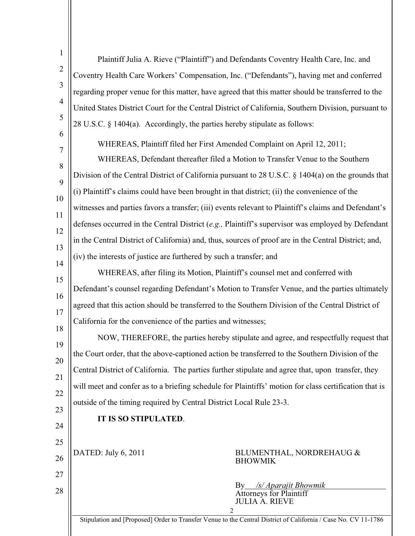| $\mathbf{1}$   | Plaintiff Julia A. Rieve ("Plaintiff") and Defendants Coventry Health Care, Inc. and                           |
|----------------|----------------------------------------------------------------------------------------------------------------|
| $\overline{2}$ | Coventry Health Care Workers' Compensation, Inc. ("Defendants"), having met and conferred                      |
| 3              | regarding proper venue for this matter, have agreed that this matter should be transferred to the              |
| $\overline{4}$ | United States District Court for the Central District of California, Southern Division, pursuant to            |
| 5              | 28 U.S.C. § 1404(a). Accordingly, the parties hereby stipulate as follows:                                     |
| 6              | WHEREAS, Plaintiff filed her First Amended Complaint on April 12, 2011;                                        |
| 7              | WHEREAS, Defendant thereafter filed a Motion to Transfer Venue to the Southern                                 |
| 8              | Division of the Central District of California pursuant to 28 U.S.C. § 1404(a) on the grounds that             |
| 9              | (i) Plaintiff's claims could have been brought in that district; (ii) the convenience of the                   |
| 10             | witnesses and parties favors a transfer; (iii) events relevant to Plaintiff's claims and Defendant's           |
| 11             | defenses occurred in the Central District (e.g., Plaintiff's supervisor was employed by Defendant              |
| 12             | in the Central District of California) and, thus, sources of proof are in the Central District; and,           |
| 13             |                                                                                                                |
| 14             | (iv) the interests of justice are furthered by such a transfer; and                                            |
| 15             | WHEREAS, after filing its Motion, Plaintiff's counsel met and conferred with                                   |
| 16             | Defendant's counsel regarding Defendant's Motion to Transfer Venue, and the parties ultimately                 |
| 17             | agreed that this action should be transferred to the Southern Division of the Central District of              |
| 18             | California for the convenience of the parties and witnesses;                                                   |
| 19             | NOW, THEREFORE, the parties hereby stipulate and agree, and respectfully request that                          |
| 20             | the Court order, that the above-captioned action be transferred to the Southern Division of the                |
| 21             | Central District of California. The parties further stipulate and agree that, upon transfer, they              |
| 22             | will meet and confer as to a briefing schedule for Plaintiffs' motion for class certification that is          |
|                | outside of the timing required by Central District Local Rule 23-3.                                            |
| 23             | IT IS SO STIPULATED.                                                                                           |
| 24             |                                                                                                                |
| 25             | DATED: July 6, 2011<br>BLUMENTHAL, NORDREHAUG &                                                                |
| 26             | <b>BHOWMIK</b>                                                                                                 |
| 27             | /s/ Aparajit Bhowmik<br>By                                                                                     |
| 28             | <b>Attorneys for Plaintiff</b><br><b>JULIA A. RIEVE</b>                                                        |
|                | 2                                                                                                              |
|                | Stipulation and [Proposed] Order to Transfer Venue to the Central District of California / Case No. CV 11-1786 |

 $\mathbb{I}$